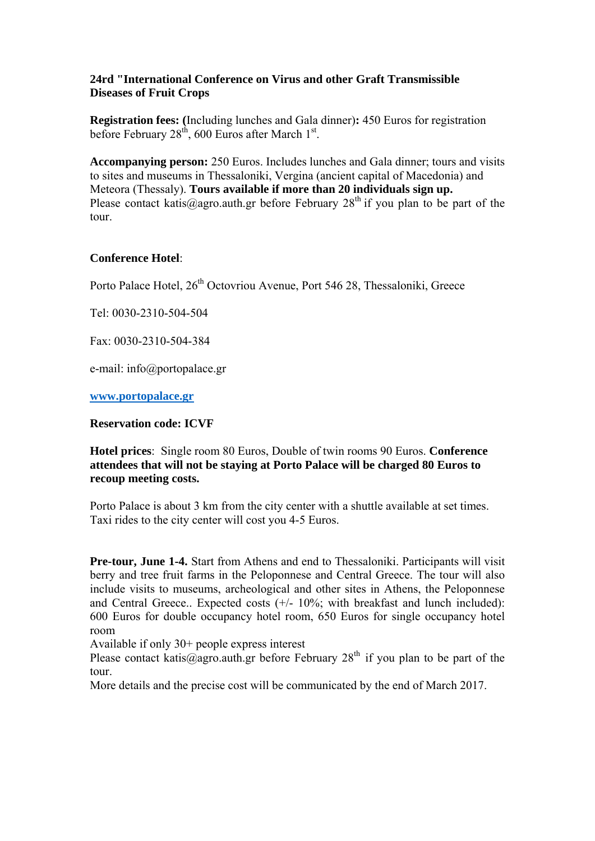# **24rd "International Conference on Virus and other Graft Transmissible Diseases of Fruit Crops**

**Registration fees: (**Including lunches and Gala dinner)**:** 450 Euros for registration before February  $28<sup>th</sup>$ , 600 Euros after March  $1<sup>st</sup>$ .

**Accompanying person:** 250 Euros. Includes lunches and Gala dinner; tours and visits to sites and museums in Thessaloniki, Vergina (ancient capital of Macedonia) and Meteora (Thessaly). **Tours available if more than 20 individuals sign up.**  Please contact katis@agro.auth.gr before February  $28<sup>th</sup>$  if you plan to be part of the tour.

# **Conference Hotel**:

Porto Palace Hotel,  $26<sup>th</sup>$  Octovriou Avenue, Port 546 28, Thessaloniki, Greece

Tel: 0030-2310-504-504

Fax: 0030-2310-504-384

e-mail: info@portopalace.gr

**www.portopalace.gr** 

### **Reservation code: ICVF**

**Hotel prices**: Single room 80 Euros, Double of twin rooms 90 Euros. **Conference attendees that will not be staying at Porto Palace will be charged 80 Euros to recoup meeting costs.** 

Porto Palace is about 3 km from the city center with a shuttle available at set times. Taxi rides to the city center will cost you 4-5 Euros.

**Pre-tour, June 1-4.** Start from Athens and end to Thessaloniki. Participants will visit berry and tree fruit farms in the Peloponnese and Central Greece. The tour will also include visits to museums, archeological and other sites in Athens, the Peloponnese and Central Greece.. Expected costs  $(+/- 10\%$ ; with breakfast and lunch included): 600 Euros for double occupancy hotel room, 650 Euros for single occupancy hotel room

Available if only 30+ people express interest

Please contact katis@agro.auth.gr before February  $28<sup>th</sup>$  if you plan to be part of the tour.

More details and the precise cost will be communicated by the end of March 2017.